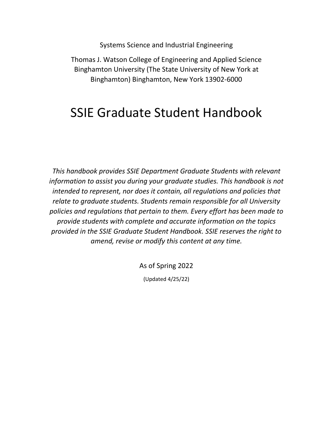Systems Science and Industrial Engineering

Thomas J. Watson College of Engineering and Applied Science Binghamton University (The State University of New York at Binghamton) Binghamton, New York 13902-6000

# SSIE Graduate Student Handbook

*This handbook provides SSIE Department Graduate Students with relevant information to assist you during your graduate studies. This handbook is not intended to represent, nor does it contain, all regulations and policies that relate to graduate students. Students remain responsible for all University policies and regulations that pertain to them. Every effort has been made to provide students with complete and accurate information on the topics provided in the SSIE Graduate Student Handbook. SSIE reserves the right to amend, revise or modify this content at any time.*

As of Spring 2022

(Updated 4/25/22)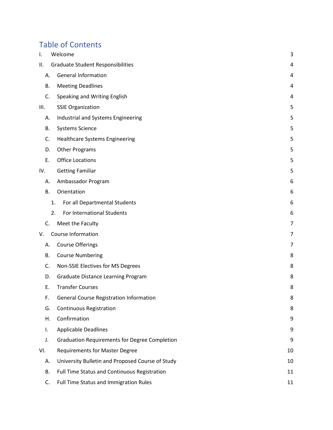# Table of Contents

| Ι.   | Welcome                                              | 3  |
|------|------------------------------------------------------|----|
| Ш.   | <b>Graduate Student Responsibilities</b>             | 4  |
| Α.   | <b>General Information</b>                           | 4  |
| В.   | <b>Meeting Deadlines</b>                             | 4  |
| C.   | Speaking and Writing English                         | 4  |
| III. | <b>SSIE Organization</b>                             | 5  |
| А.   | Industrial and Systems Engineering                   | 5  |
| В.   | <b>Systems Science</b>                               | 5  |
| C.   | <b>Healthcare Systems Engineering</b>                | 5  |
| D.   | <b>Other Programs</b>                                | 5  |
| Ε.   | <b>Office Locations</b>                              | 5  |
| IV.  | <b>Getting Familiar</b>                              | 5  |
| А.   | Ambassador Program                                   | 6  |
| В.   | Orientation                                          | 6  |
|      | For all Departmental Students<br>1.                  | 6  |
|      | 2.<br>For International Students                     | 6  |
| C.   | Meet the Faculty                                     | 7  |
| V.   | Course Information                                   | 7  |
| А.   | <b>Course Offerings</b>                              | 7  |
| В.   | <b>Course Numbering</b>                              | 8  |
| C.   | Non-SSIE Electives for MS Degrees                    | 8  |
| D.   | Graduate Distance Learning Program                   | 8  |
| Ε.   | <b>Transfer Courses</b>                              | 8  |
| F.   | <b>General Course Registration Information</b>       | 8  |
| G.   | <b>Continuous Registration</b>                       | 8  |
| Η.   | Confirmation                                         | 9  |
| I.   | <b>Applicable Deadlines</b>                          | 9  |
| J.   | <b>Graduation Requirements for Degree Completion</b> | 9  |
| VI.  | <b>Requirements for Master Degree</b>                | 10 |
| А.   | University Bulletin and Proposed Course of Study     | 10 |
| В.   | Full Time Status and Continuous Registration         | 11 |
| C.   | Full Time Status and Immigration Rules               | 11 |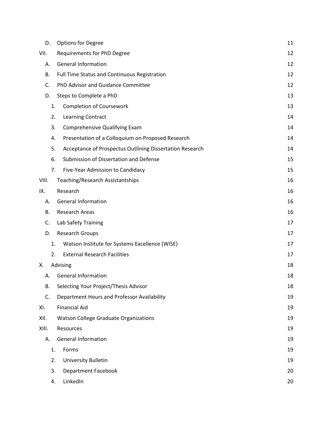| D.    | <b>Options for Degree</b>                                | 11 |
|-------|----------------------------------------------------------|----|
| VII.  | Requirements for PhD Degree                              | 12 |
| А.    | <b>General Information</b>                               | 12 |
| В.    | Full Time Status and Continuous Registration             | 12 |
| C.    | PhD Advisor and Guidance Committee                       | 12 |
| D.    | Steps to Complete a PhD                                  | 13 |
| 1.    | <b>Completion of Coursework</b>                          | 13 |
| 2.    | Learning Contract                                        | 14 |
| 3.    | Comprehensive Qualifying Exam                            | 14 |
| 4.    | Presentation of a Colloquium on Proposed Research        | 14 |
| 5.    | Acceptance of Prospectus Outlining Dissertation Research | 14 |
| 6.    | Submission of Dissertation and Defense                   | 15 |
| 7.    | Five-Year Admission to Candidacy                         | 15 |
| VIII. | Teaching/Research Assistantships                         | 16 |
| IX.   | Research                                                 | 16 |
| А.    | <b>General Information</b>                               | 16 |
| В.    | <b>Research Areas</b>                                    | 16 |
| C.    | Lab Safety Training                                      | 17 |
| D.    | <b>Research Groups</b>                                   | 17 |
| 1.    | Watson Institute for Systems Excellence (WISE)           | 17 |
| 2.    | <b>External Research Facilities</b>                      | 17 |
| х.    | Advising                                                 | 18 |
| А.    | <b>General Information</b>                               | 18 |
| В.    | Selecting Your Project/Thesis Advisor                    | 18 |
| C.    | Department Hours and Professor Availability              | 19 |
| XI.   | <b>Financial Aid</b>                                     | 19 |
| XII.  | Watson College Graduate Organizations                    | 19 |
| XIII. | Resources                                                | 19 |
| А.    | <b>General Information</b>                               | 19 |
| 1.    | Forms                                                    | 19 |
| 2.    | University Bulletin                                      | 19 |
| 3.    | <b>Department Facebook</b>                               | 20 |
| 4.    | LinkedIn                                                 | 20 |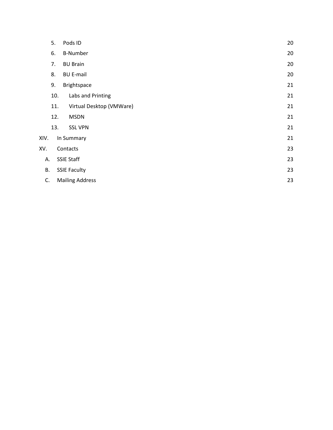|      | 5.  | Pods ID                  | 20 |
|------|-----|--------------------------|----|
|      | 6.  | <b>B-Number</b>          | 20 |
|      | 7.  | <b>BU Brain</b>          | 20 |
|      | 8.  | <b>BU E-mail</b>         | 20 |
|      | 9.  | Brightspace              | 21 |
|      | 10. | Labs and Printing        | 21 |
|      | 11. | Virtual Desktop (VMWare) | 21 |
|      | 12. | <b>MSDN</b>              | 21 |
|      | 13. | <b>SSL VPN</b>           | 21 |
| XIV. |     | In Summary               | 21 |
| XV.  |     | Contacts                 | 23 |
| Α.   |     | <b>SSIE Staff</b>        | 23 |
| В.   |     | <b>SSIE Faculty</b>      | 23 |
| C.   |     | <b>Mailing Address</b>   | 23 |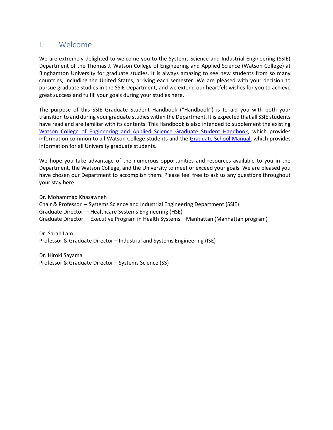## <span id="page-4-0"></span>I. Welcome

We are extremely delighted to welcome you to the Systems Science and Industrial Engineering (SSIE) Department of the Thomas J. Watson College of Engineering and Applied Science (Watson College) at Binghamton University for graduate studies. It is always amazing to see new students from so many countries, including the United States, arriving each semester. We are pleased with your decision to pursue graduate studies in the SSIE Department, and we extend our heartfelt wishes for you to achieve great success and fulfill your goals during your studies here.

The purpose of this SSIE Graduate Student Handbook ("Handbook") is to aid you with both your transition to and during your graduate studies within the Department. It is expected that all SSIE students have read and are familiar with its contents. This Handbook is also intended to supplement the existing [Watson College of Engineering and Applied Science Graduate Student Handbook, w](http://www2.binghamton.edu/watson/advising/graduate/Watson-Grad-Handbook-089.pdf)hich provides information common to all Watson College students and the [Graduate School Manual,](http://www2.binghamton.edu/grad-school/manual/index.html) which provides information for all University graduate students.

We hope you take advantage of the numerous opportunities and resources available to you in the Department, the Watson College, and the University to meet or exceed your goals. We are pleased you have chosen our Department to accomplish them. Please feel free to ask us any questions throughout your stay here.

Dr. Mohammad Khasawneh Chair & Professor – Systems Science and Industrial Engineering Department (SSIE) Graduate Director – Healthcare Systems Engineering (HSE) Graduate Director – Executive Program in Health Systems – Manhattan (Manhattan program)

Dr. Sarah Lam Professor & Graduate Director – Industrial and Systems Engineering (ISE)

Dr. Hiroki Sayama Professor & Graduate Director – Systems Science (SS)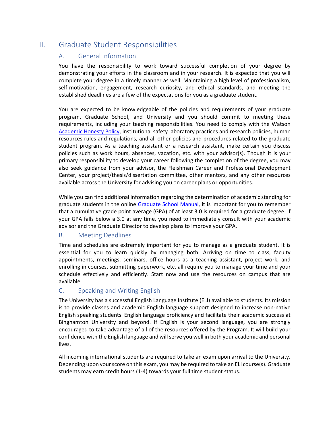## <span id="page-5-1"></span><span id="page-5-0"></span>II. Graduate Student Responsibilities

## A. General Information

You have the responsibility to work toward successful completion of your degree by demonstrating your efforts in the classroom and in your research. It is expected that you will complete your degree in a timely manner as well. Maintaining a high level of professionalism, self-motivation, engagement, research curiosity, and ethical standards, and meeting the established deadlines are a few of the expectations for you as a graduate student.

You are expected to be knowledgeable of the policies and requirements of your graduate program, Graduate School, and University and you should commit to meeting these requirements, including your teaching responsibilities. You need to comply with the Watson [Academic Honesty Policy,](http://www2.binghamton.edu/watson/advising/pdfs/honesty-policy.pdf) institutional safety laboratory practices and research policies, human resources rules and regulations, and all other policies and procedures related to the graduate student program. As a teaching assistant or a research assistant, make certain you discuss policies such as work hours, absences, vacation, etc. with your advisor(s). Though it is your primary responsibility to develop your career following the completion of the degree, you may also seek guidance from your advisor, the Fleishman Career and Professional Development Center, your project/thesis/dissertation committee, other mentors, and any other resources available across the University for advising you on career plans or opportunities.

While you can find additional information regarding the determination of academic standing for graduate students in the online [Graduate School Manual,](http://www2.binghamton.edu/grad-school/manual/index.html) it is important for you to remember that a cumulative grade point average (GPA) of at least 3.0 is required for a graduate degree. If your GPA falls below a 3.0 at any time, you need to immediately consult with your academic advisor and the Graduate Director to develop plans to improve your GPA.

## <span id="page-5-2"></span>B. Meeting Deadlines

Time and schedules are extremely important for you to manage as a graduate student. It is essential for you to learn quickly by managing both. Arriving on time to class, faculty appointments, meetings, seminars, office hours as a teaching assistant, project work, and enrolling in courses, submitting paperwork, etc. all require you to manage your time and your schedule effectively and efficiently. Start now and use the resources on campus that are available.

## <span id="page-5-3"></span>C. Speaking and Writing English

The University has a successful English Language Institute (ELI) available to students. Its mission is to provide classes and academic English language support designed to increase non-native English speaking students' English language proficiency and facilitate their academic success at Binghamton University and beyond. If English is your second language, you are strongly encouraged to take advantage of all of the resources offered by the Program. It will build your confidence with the English language and will serve you well in both your academic and personal lives.

All incoming international students are required to take an exam upon arrival to the University. Depending upon your score on this exam, you may be required to take an ELI course(s). Graduate students may earn credit hours (1-4) towards your full time student status.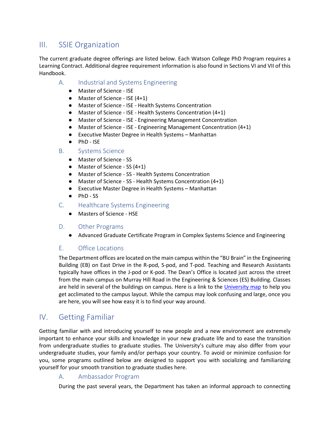## <span id="page-6-0"></span>III. SSIE Organization

The current graduate degree offerings are listed below. Each Watson College PhD Program requires a Learning Contract. Additional degree requirement information is also found in Sections VI and VII of this Handbook.

- <span id="page-6-1"></span>A. Industrial and Systems Engineering
	- Master of Science ISE
	- Master of Science ISE (4+1)
	- Master of Science ISE Health Systems Concentration
	- Master of Science ISE Health Systems Concentration (4+1)
	- Master of Science ISE Engineering Management Concentration
	- Master of Science ISE Engineering Management Concentration (4+1)
	- Executive Master Degree in Health Systems Manhattan
	- PhD ISE
- <span id="page-6-3"></span><span id="page-6-2"></span>B. Systems Science
	- Master of Science SS
	- Master of Science SS (4+1)
	- Master of Science SS Health Systems Concentration
	- Master of Science SS Health Systems Concentration (4+1)
	- Executive Master Degree in Health Systems Manhattan
	- PhD SS
- C. Healthcare Systems Engineering
	- Masters of Science HSE

#### <span id="page-6-4"></span>D. Other Programs

● Advanced Graduate Certificate Program in Complex Systems Science and Engineering

## <span id="page-6-5"></span>E. Office Locations

The Department offices are located on the main campus within the "BU Brain" in the Engineering Building (EB) on East Drive in the R-pod, S-pod, and T-pod. Teaching and Research Assistants typically have offices in the J-pod or K-pod. The Dean's Office is located just across the street from the main campus on Murray Hill Road in the Engineering & Sciences (ES) Building. Classes are held in several of the buildings on campus. Here is a link to the [University map](http://www.binghamton.edu/maps/) to help you get acclimated to the campus layout. While the campus may look confusing and large, once you are here, you will see how easy it is to find your way around.

## <span id="page-6-6"></span>IV. Getting Familiar

Getting familiar with and introducing yourself to new people and a new environment are extremely important to enhance your skills and knowledge in your new graduate life and to ease the transition from undergraduate studies to graduate studies. The University's culture may also differ from your undergraduate studies, your family and/or perhaps your country. To avoid or minimize confusion for you, some programs outlined below are designed to support you with socializing and familiarizing yourself for your smooth transition to graduate studies here.

## <span id="page-6-7"></span>A. Ambassador Program

During the past several years, the Department has taken an informal approach to connecting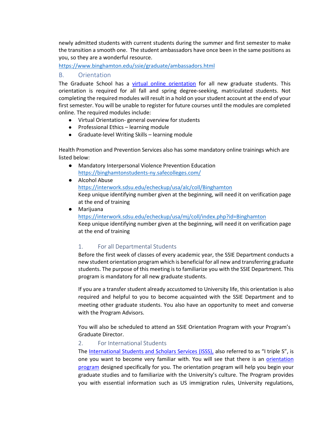newly admitted students with current students during the summer and first semester to make the transition a smooth one. The student ambassadors have once been in the same positions as you, so they are a wonderful resource.

<https://www.binghamton.edu/ssie/graduate/ambassadors.html>

## <span id="page-7-0"></span>B. Orientation

The Graduate School has a [virtual online orientation](http://www2.binghamton.edu/grad-school/new-and-current-students/new-graduate-students/orientation.html) for all new graduate students. This orientation is required for all fall and spring degree-seeking, matriculated students. Not completing the required modules will result in a hold on your student account at the end of your first semester. You will be unable to register for future courses until the modules are completed online. The required modules include:

- Virtual Orientation- general overview for students
- Professional Ethics learning module
- Graduate-level Writing Skills learning module

Health Promotion and Prevention Services also has some mandatory online trainings which are listed below:

- Mandatory Interpersonal Violence Prevention Education [https](about:blank)[://binghamtonstudents-ny.safecolleges.com/](https://binghamtonstudents-ny.safecolleges.com/)
- Alcohol Abuse

[https](about:blank)[://interwork.sdsu.edu/echeckup/usa/alc/coll/Binghamton](https://interwork.sdsu.edu/echeckup/usa/alc/coll/Binghamton) Keep unique identifying number given at the beginning, will need it on verification page at the end of training

● Marijuana

[https](about:blank)[://interwork.sdsu.edu/echeckup/usa/mj/coll/index.php?id=Binghamton](https://interwork.sdsu.edu/echeckup/usa/mj/coll/index.php?id=Binghamton) Keep unique identifying number given at the beginning, will need it on verification page at the end of training

## <span id="page-7-1"></span>1. For all Departmental Students

Before the first week of classes of every academic year, the SSIE Department conducts a new student orientation program which is beneficial for all new and transferring graduate students. The purpose of this meeting is to familiarize you with the SSIE Department. This program is mandatory for all new graduate students.

If you are a transfer student already accustomed to University life, this orientation is also required and helpful to you to become acquainted with the SSIE Department and to meeting other graduate students. You also have an opportunity to meet and converse with the Program Advisors.

You will also be scheduled to attend an SSIE Orientation Program with your Program's Graduate Director.

#### <span id="page-7-2"></span>2. For International Students

The [International Students and Scholars Services \(ISSS\),](http://www.binghamton.edu/isss/) [a](http://www.binghamton.edu/isss/)lso referred to as "I triple S", is one you want to become very familiar with. You will see that there is an [orientation](http://www2.binghamton.edu/isss/orientation/index.html)  [program](http://www2.binghamton.edu/isss/orientation/index.html) designed specifically for you. The orientation program will help you begin your graduate studies and to familiarize with the University's culture. The Program provides you with essential information such as US immigration rules, University regulations,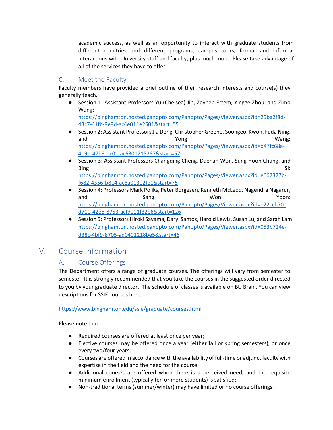academic success, as well as an opportunity to interact with graduate students from different countries and different programs, campus tours, formal and informal interactions with University staff and faculty, plus much more. Please take advantage of all of the services they have to offer.

## <span id="page-8-0"></span>C. Meet the Faculty

Faculty members have provided a brief outline of their research interests and course(s) they generally teach.

● Session 1: Assistant Professors Yu (Chelsea) Jin, Zeynep Ertem, Yingge Zhou, and Zimo Wang:

[https://binghamton.hosted.panopto.com/Panopto/Pages/Viewer.aspx?id=25ba2f8d-](https://binghamton.hosted.panopto.com/Panopto/Pages/Viewer.aspx?id=25ba2f8d-43c7-41fb-9e9d-ac4e011e2501&start=55)[43c7-41fb-9e9d-ac4e011e2501&start=55](https://binghamton.hosted.panopto.com/Panopto/Pages/Viewer.aspx?id=25ba2f8d-43c7-41fb-9e9d-ac4e011e2501&start=55)

- Session 2: Assistant Professors Jia Deng, Christopher Greene, Soongeol Kwon, Fuda Ning, and  $Y\cap g$  and  $Y\cap g$ [https://binghamton.hosted.panopto.com/Panopto/Pages/Viewer.aspx?id=d47fc68a-](https://binghamton.hosted.panopto.com/Panopto/Pages/Viewer.aspx?id=d47fc68a-419d-47b8-bc01-ac6301215287&start=57)[419d-47b8-bc01-ac6301215287&start=57](https://binghamton.hosted.panopto.com/Panopto/Pages/Viewer.aspx?id=d47fc68a-419d-47b8-bc01-ac6301215287&start=57)
- Session 3: Assistant Professors Changqing Cheng, Daehan Won, Sung Hoon Chung, and Bing Si: [https://binghamton.hosted.panopto.com/Panopto/Pages/Viewer.aspx?id=e667377b](https://binghamton.hosted.panopto.com/Panopto/Pages/Viewer.aspx?id=e667377b-f682-4356-b814-ac6a01302fe1&start=75%20)[f682-4356-b814-ac6a01302fe1&start=75](https://binghamton.hosted.panopto.com/Panopto/Pages/Viewer.aspx?id=e667377b-f682-4356-b814-ac6a01302fe1&start=75%20)
- Session 4: Professors Mark Poliks, Peter Borgesen, Kenneth McLeod, Nagendra Nagarur, and Sang Senset Won Won Yoon: [https://binghamton.hosted.panopto.com/Panopto/Pages/Viewer.aspx?id=e22ccb70](https://binghamton.hosted.panopto.com/Panopto/Pages/Viewer.aspx?id=e22ccb70-d710-42e6-8753-acfd011f32e6&start=126) [d710-42e6-8753-acfd011f32e6&start=126](https://binghamton.hosted.panopto.com/Panopto/Pages/Viewer.aspx?id=e22ccb70-d710-42e6-8753-acfd011f32e6&start=126)
- Session 5: Professors Hiroki Sayama, Daryl Santos, Harold Lewis, Susan Lu, and Sarah Lam: [https://binghamton.hosted.panopto.com/Panopto/Pages/Viewer.aspx?id=053b724e](https://binghamton.hosted.panopto.com/Panopto/Pages/Viewer.aspx?id=053b724e-d38c-4bf9-8705-ad0401218be5&start=46%20)[d38c-4bf9-8705-ad0401218be5&start=46](https://binghamton.hosted.panopto.com/Panopto/Pages/Viewer.aspx?id=053b724e-d38c-4bf9-8705-ad0401218be5&start=46%20)

## <span id="page-8-2"></span><span id="page-8-1"></span>V. Course Information

## A. Course Offerings

The Department offers a range of graduate courses. The offerings will vary from semester to semester. It is strongly recommended that you take the courses in the suggested order directed to you by your graduate director. The schedule of classes is available on BU Brain. You can view descriptions for SSIE courses here:

## <https://www.binghamton.edu/ssie/graduate/courses.html>

Please note that:

- Required courses are offered at least once per year;
- Elective courses may be offered once a year (either fall or spring semesters), or once every two/four years;
- Courses are offered in accordance with the availability of full-time or adjunct faculty with expertise in the field and the need for the course;
- Additional courses are offered when there is a perceived need, and the requisite minimum enrollment (typically ten or more students) is satisfied;
- Non-traditional terms (summer/winter) may have limited or no course offerings.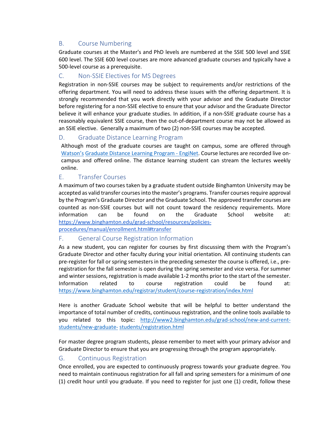## <span id="page-9-0"></span>B. Course Numbering

Graduate courses at the Master's and PhD levels are numbered at the SSIE 500 level and SSIE 600 level. The SSIE 600 level courses are more advanced graduate courses and typically have a 500-level course as a prerequisite.

## <span id="page-9-1"></span>C. Non-SSIE Electives for MS Degrees

Registration in non-SSIE courses may be subject to requirements and/or restrictions of the offering department. You will need to address these issues with the offering department. It is strongly recommended that you work directly with your advisor and the Graduate Director before registering for a non-SSIE elective to ensure that your advisor and the Graduate Director believe it will enhance your graduate studies. In addition, if a non-SSIE graduate course has a reasonably equivalent SSIE course, then the out-of-department course may not be allowed as an SSIE elective. Generally a maximum of two (2) non-SSIE courses may be accepted.

## <span id="page-9-2"></span>D. Graduate Distance Learning Program

Although most of the graduate courses are taught on campus, some are offered through [Watson's](http://www2.binghamton.edu/watson/enginet/) [Graduate Distance Learning Program - EngiNet.](https://www.binghamton.edu/watson/graduate/enginet/index.html) Course lectures are recorded live oncampus and offered online. The distance learning student can stream the lectures weekly online.

## <span id="page-9-3"></span>E. Transfer Courses

A maximum of two courses taken by a graduate student outside Binghamton University may be accepted as valid transfer courses into the master's programs. Transfer courses require approval by the Program's Graduate Director and the Graduate School. The approved transfer courses are counted as non-SSIE courses but will not count toward the residency requirements. More information can be found on the Graduate School website at: [https://www.binghamton.edu/grad-school/resources/policies](https://www.binghamton.edu/grad-school/resources/policies-procedures/manual/enrollment.html#transfer)[procedures/manual/enrollment.html#transfer](https://www.binghamton.edu/grad-school/resources/policies-procedures/manual/enrollment.html#transfer) 

## <span id="page-9-4"></span>F. General Course Registration Information

As a new student, you can register for courses by first discussing them with the Program's Graduate Director and other faculty during your initial orientation. All continuing students can pre-register for fall or spring semesters in the preceding semester the course is offered, i.e., preregistration for the fall semester is open during the spring semester and vice versa. For summer and winter sessions, registration is made available 1-2 months prior to the start of the semester. Information related to course registration could be found at: <https://www.binghamton.edu/registrar/student/course-registration/index.html>

Here is another Graduate School website that will be helpful to better understand the importance of total number of credits, continuous registration, and the online tools available to you related to this topic: [http://www2.binghamton.edu/grad-school/new-and-current](http://www2.binghamton.edu/grad-school/new-and-current-students/new-graduate-students/registration.html)[students/new-graduate-](http://www2.binghamton.edu/grad-school/new-and-current-students/new-graduate-students/registration.html) [students/registration.html](http://www2.binghamton.edu/grad-school/new-and-current-students/new-graduate-students/registration.html)

For master degree program students, please remember to meet with your primary advisor and Graduate Director to ensure that you are progressing through the program appropriately.

## <span id="page-9-5"></span>G. Continuous Registration

Once enrolled, you are expected to continuously progress towards your graduate degree. You need to maintain continuous registration for all fall and spring semesters for a minimum of one (1) credit hour until you graduate. If you need to register for just one (1) credit, follow these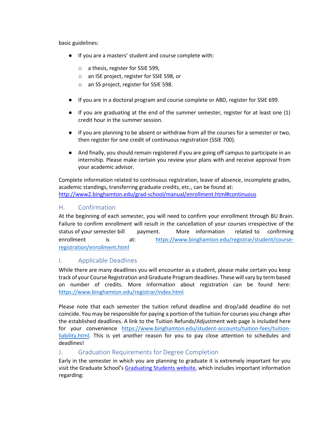basic guidelines:

- If you are a masters' student and course complete with:
	- o a thesis, register for SSIE 599,
	- o an ISE project, register for SSIE 598, or
	- o an SS project, register for SSIE 598.
- If you are in a doctoral program and course complete or ABD, register for SSIE 699.
- If you are graduating at the end of the summer semester, register for at least one (1) credit hour in the summer session.
- If you are planning to be absent or withdraw from all the courses for a semester or two, then register for one credit of continuous registration (SSIE 700).
- And finally, you should remain registered if you are going off campus to participate in an internship. Please make certain you review your plans with and receive approval from your academic advisor.

Complete information related to continuous registration, leave of absence, incomplete grades, academic standings, transferring graduate credits, etc., can be found at: <http://www2.binghamton.edu/grad-school/manual/enrollment.html#continuous>

## <span id="page-10-0"></span>H. Confirmation

At the beginning of each semester, you will need to confirm your enrollment through BU Brain. Failure to confirm enrollment will result in the cancellation of your courses irrespective of the status of your semester bill payment. More information related to confirming enrollment is at: [https://www.binghamton.edu/registrar/student/course](https://www.binghamton.edu/registrar/student/course-registration/enrollment.html)[registration/enrollment.html](https://www.binghamton.edu/registrar/student/course-registration/enrollment.html)

## <span id="page-10-1"></span>I. Applicable Deadlines

While there are many deadlines you will encounter as a student, please make certain you keep track of your Course Registration and Graduate Program deadlines. These will vary by term based on number of credits. More information about registration can be found here: <https://www.binghamton.edu/registrar/index.html>

Please note that each semester the tuition refund deadline and drop/add deadline do not coincide. You may be responsible for paying a portion of the tuition for courses you change after the established deadlines. A link to the Tuition Refunds/Adjustment web page is included here for your convenience [https://www.binghamton.edu/student-accounts/tuition-fees/tuition](https://www.binghamton.edu/student-accounts/tuition-fees/tuition-liability.html)[liability.html.](https://www.binghamton.edu/student-accounts/tuition-fees/tuition-liability.html) This is yet another reason for you to pay close attention to schedules and deadlines!

## <span id="page-10-2"></span>J. Graduation Requirements for Degree Completion

Early in the semester in which you are planning to graduate it is extremely important for you visit the Graduate School's [Graduating Students website, w](https://www.binghamton.edu/grad-school/resources/graduation/index.html)hich includes important information regarding: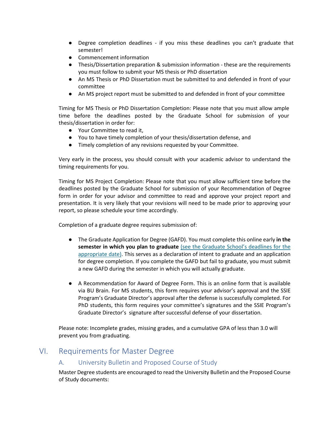- Degree completion deadlines if you miss these deadlines you can't graduate that semester!
- Commencement information
- Thesis/Dissertation preparation & submission information these are the requirements you must follow to submit your MS thesis or PhD dissertation
- An MS Thesis or PhD Dissertation must be submitted to and defended in front of your committee
- An MS project report must be submitted to and defended in front of your committee

Timing for MS Thesis or PhD Dissertation Completion: Please note that you must allow ample time before the deadlines posted by the Graduate School for submission of your thesis/dissertation in order for:

- Your Committee to read it,
- You to have timely completion of your thesis/dissertation defense, and
- Timely completion of any revisions requested by your Committee.

Very early in the process, you should consult with your academic advisor to understand the timing requirements for you.

Timing for MS Project Completion: Please note that you must allow sufficient time before the deadlines posted by the Graduate School for submission of your Recommendation of Degree form in order for your advisor and committee to read and approve your project report and presentation. It is very likely that your revisions will need to be made prior to approving your report, so please schedule your time accordingly.

Completion of a graduate degree requires submission of:

- The Graduate Application for Degree (GAFD). You must complete this online early **in the semester in which you plan to graduate** [\(see the Graduate School's deadlines for the](https://www.binghamton.edu/grad-school/resources/graduation/index.html) [appropriate date\).](http://www2.binghamton.edu/grad-school/new-and-current-students/graduating-students/index.html) This serves as a declaration of intent to graduate and an application for degree completion. If you complete the GAFD but fail to graduate, you must submit a new GAFD during the semester in which you will actually graduate.
- A Recommendation for Award of Degree Form. This is an online form that is available via BU Brain. For MS students, this form requires your advisor's approval and the SSIE Program's Graduate Director's approval after the defense is successfully completed. For PhD students, this form requires your committee's signatures and the SSIE Program's Graduate Director's signature after successful defense of your dissertation.

Please note: Incomplete grades, missing grades, and a cumulative GPA of less than 3.0 will prevent you from graduating.

## <span id="page-11-1"></span><span id="page-11-0"></span>VI. Requirements for Master Degree

## A. University Bulletin and Proposed Course of Study

Master Degree students are encouraged to read the University Bulletin and the Proposed Course of Study documents: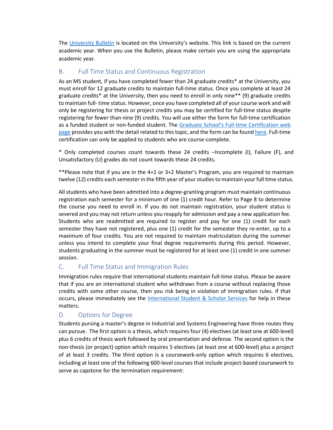The [University Bulletin](http://bulletin.binghamton.edu/) is located on the University's website. This link is based on the current academic year. When you use the Bulletin, please make certain you are using the appropriate academic year.

## <span id="page-12-0"></span>B. Full Time Status and Continuous Registration

As an MS student, if you have completed fewer than 24 graduate credits\* at the University, you must enroll for 12 graduate credits to maintain full-time status. Once you complete at least 24 graduate credits\* at the University, then you need to enroll in only nine\*\* (9) graduate credits to maintain full- time status. However, once you have completed all of your course work and will only be registering for thesis or project credits you may be certified for full-time status despite registering for fewer than nine (9) credits. You will use either the form for full-time certification as a funded student or non-funded student. The Graduate School's Full-time Certification web [page](https://www.binghamton.edu/grad-school/resources/policies-procedures/manual/enrollment.html#status) provides you with the detail related to this topic, and the form can be found [here.](https://www.binghamton.edu/grad-school/docs-forms/full-time_working_toward_degree_status_certification_form.pdf) Full-time certification can only be applied to students who are course-complete.

\* Only completed courses count towards these 24 credits –Incomplete (I), Failure (F), and Unsatisfactory (U) grades do not count towards these 24 credits.

\*\*Please note that if you are in the 4+1 or 3+2 Master's Program, you are required to maintain twelve (12) credits each semester in the fifth year of your studies to maintain your full time status.

All students who have been admitted into a degree-granting program must maintain continuous registration each semester for a minimum of one (1) credit hour. Refer to Page 8 to determine the course you need to enroll in. If you do not maintain registration, your student status is severed and you may not return unless you reapply for admission and pay a new application fee. Students who are readmitted are required to register and pay for one (1) credit for each semester they have not registered, plus one (1) credit for the semester they re-enter, up to a maximum of four credits. You are not required to maintain matriculation during the summer unless you intend to complete your final degree requirements during this period. However, students graduating in the summer must be registered for at least one (1) credit in one summer session.

## <span id="page-12-1"></span>C. Full Time Status and Immigration Rules

Immigration rules require that international students maintain full-time status. Please be aware that if you are an international student who withdraws from a course without replacing those credits with some other course, then you risk being in violation of immigration rules. If that occurs, please immediately see the [International Student & Scholar Services](http://www2.binghamton.edu/isss/orientation/index.html) [f](http://www2.binghamton.edu/isss/orientation/index.html)or help in these matters.

## <span id="page-12-2"></span>D. Options for Degree

Students pursing a master's degree in Industrial and Systems Engineering have three routes they can pursue. The first option is a thesis, which requires four (4) electives (at least one at 600-level) plus 6 credits of thesis work followed by oral presentation and defense. The second option is the non-thesis (or project) option which requires 5 electives (at least one at 600-level) plus a project of at least 3 credits. The third option is a coursework-only option which requires 6 electives, including at least one of the following 600-level courses that include project-based coursework to serve as capstone for the termination requirement: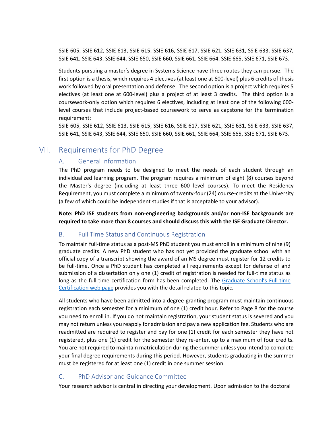SSIE 605, SSIE 612, SSIE 613, SSIE 615, SSIE 616, SSIE 617, SSIE 621, SSIE 631, SSIE 633, SSIE 637, SSIE 641, SSIE 643, SSIE 644, SSIE 650, SSIE 660, SSIE 661, SSIE 664, SSIE 665, SSIE 671, SSIE 673.

Students pursuing a master's degree in Systems Science have three routes they can pursue. The first option is a thesis, which requires 4 electives (at least one at 600-level) plus 6 credits of thesis work followed by oral presentation and defense. The second option is a project which requires 5 electives (at least one at 600-level) plus a project of at least 3 credits. The third option is a coursework-only option which requires 6 electives, including at least one of the following 600 level courses that include project-based coursework to serve as capstone for the termination requirement:

SSIE 605, SSIE 612, SSIE 613, SSIE 615, SSIE 616, SSIE 617, SSIE 621, SSIE 631, SSIE 633, SSIE 637, SSIE 641, SSIE 643, SSIE 644, SSIE 650, SSIE 660, SSIE 661, SSIE 664, SSIE 665, SSIE 671, SSIE 673.

## <span id="page-13-1"></span><span id="page-13-0"></span>VII. Requirements for PhD Degree

## A. General Information

The PhD program needs to be designed to meet the needs of each student through an individualized learning program. The program requires a minimum of eight (8) courses beyond the Master's degree (including at least three 600 level courses). To meet the Residency Requirement, you must complete a minimum of twenty-four (24) course-credits at the University (a few of which could be independent studies if that is acceptable to your advisor).

**Note: PhD ISE students from non-engineering backgrounds and/or non-ISE backgrounds are required to take more than 8 courses and should discuss this with the ISE Graduate Director.**

## <span id="page-13-2"></span>B. Full Time Status and Continuous Registration

To maintain full-time status as a post-MS PhD student you must enroll in a minimum of nine (9) graduate credits. A new PhD student who has not yet provided the graduate school with an official copy of a transcript showing the award of an MS degree must register for 12 credits to be full-time. Once a PhD student has completed all requirements except for defense of and submission of a dissertation only one (1) credit of registration is needed for full-time status as long as the full-time certification form has been completed. The Graduate School's Full-time [Certification web page](https://www.binghamton.edu/grad-school/resources/policies-procedures/manual/enrollment.html#status) provides you with the detail related to this topic.

All students who have been admitted into a degree-granting program must maintain continuous registration each semester for a minimum of one (1) credit hour. Refer to Page 8 for the course you need to enroll in. If you do not maintain registration, your student status is severed and you may not return unless you reapply for admission and pay a new application fee. Students who are readmitted are required to register and pay for one (1) credit for each semester they have not registered, plus one (1) credit for the semester they re-enter, up to a maximum of four credits. You are not required to maintain matriculation during the summer unless you intend to complete your final degree requirements during this period. However, students graduating in the summer must be registered for at least one (1) credit in one summer session.

## <span id="page-13-3"></span>C. PhD Advisor and Guidance Committee

Your research advisor is central in directing your development. Upon admission to the doctoral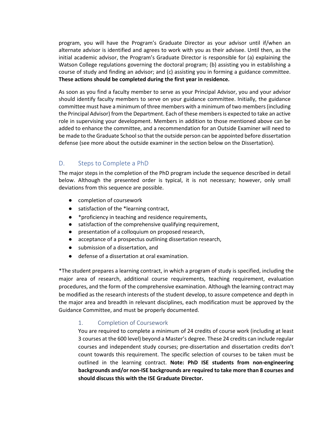program, you will have the Program's Graduate Director as your advisor until if/when an alternate advisor is identified and agrees to work with you as their advisee. Until then, as the initial academic advisor, the Program's Graduate Director is responsible for (a) explaining the Watson College regulations governing the doctoral program; (b) assisting you in establishing a course of study and finding an advisor; and (c) assisting you in forming a guidance committee. **These actions should be completed during the first year in residence.**

As soon as you find a faculty member to serve as your Principal Advisor, you and your advisor should identify faculty members to serve on your guidance committee. Initially, the guidance committee must have a minimum of three members with a minimum of two members (including the Principal Advisor) from the Department. Each of these members is expected to take an active role in supervising your development. Members in addition to those mentioned above can be added to enhance the committee, and a recommendation for an Outside Examiner will need to be made to the Graduate School so that the outside person can be appointed before dissertation defense (see more about the outside examiner in the section below on the Dissertation).

## <span id="page-14-0"></span>D. Steps to Complete a PhD

The major steps in the completion of the PhD program include the sequence described in detail below. Although the presented order is typical, it is not necessary; however, only small deviations from this sequence are possible.

- completion of coursework
- satisfaction of the \*learning contract,
- \*proficiency in teaching and residence requirements,
- satisfaction of the comprehensive qualifying requirement,
- presentation of a colloquium on proposed research,
- acceptance of a prospectus outlining dissertation research,
- submission of a dissertation, and
- defense of a dissertation at oral examination.

\*The student prepares a learning contract, in which a program of study is specified, including the major area of research, additional course requirements, teaching requirement, evaluation procedures, and the form of the comprehensive examination. Although the learning contract may be modified as the research interests of the student develop, to assure competence and depth in the major area and breadth in relevant disciplines, each modification must be approved by the Guidance Committee, and must be properly documented.

## <span id="page-14-1"></span>1. Completion of Coursework

You are required to complete a minimum of 24 credits of course work (including at least 3 courses at the 600 level) beyond a Master's degree. These 24 credits can include regular courses and independent study courses; pre-dissertation and dissertation credits don't count towards this requirement. The specific selection of courses to be taken must be outlined in the learning contract. **Note: PhD ISE students from non-engineering backgrounds and/or non-ISE backgrounds are required to take more than 8 courses and should discuss this with the ISE Graduate Director.**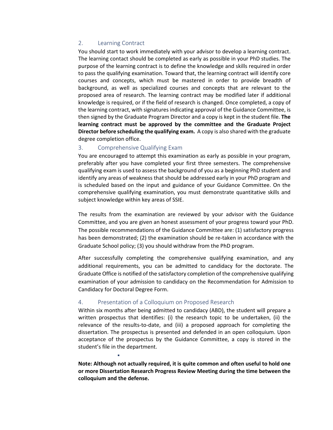#### <span id="page-15-0"></span>2. Learning Contract

You should start to work immediately with your advisor to develop a learning contract. The learning contact should be completed as early as possible in your PhD studies. The purpose of the learning contract is to define the knowledge and skills required in order to pass the qualifying examination. Toward that, the learning contract will identify core courses and concepts, which must be mastered in order to provide breadth of background, as well as specialized courses and concepts that are relevant to the proposed area of research. The learning contract may be modified later if additional knowledge is required, or if the field of research is changed. Once completed, a copy of the learning contract, with signatures indicating approval of the Guidance Committee, is then signed by the Graduate Program Director and a copy is kept in the student file. **The learning contract must be approved by the committee and the Graduate Project Director before scheduling the qualifying exam.** A copy is also shared with the graduate degree completion office.

#### <span id="page-15-1"></span>3. Comprehensive Qualifying Exam

You are encouraged to attempt this examination as early as possible in your program, preferably after you have completed your first three semesters. The comprehensive qualifying exam is used to assess the background of you as a beginning PhD student and identify any areas of weakness that should be addressed early in your PhD program and is scheduled based on the input and guidance of your Guidance Committee. On the comprehensive qualifying examination, you must demonstrate quantitative skills and subject knowledge within key areas of SSIE.

The results from the examination are reviewed by your advisor with the Guidance Committee, and you are given an honest assessment of your progress toward your PhD. The possible recommendations of the Guidance Committee are: (1) satisfactory progress has been demonstrated; (2) the examination should be re-taken in accordance with the Graduate School policy; (3) you should withdraw from the PhD program.

After successfully completing the comprehensive qualifying examination, and any additional requirements, you can be admitted to candidacy for the doctorate. The Graduate Office is notified of the satisfactory completion of the comprehensive qualifying examination of your admission to candidacy on the Recommendation for Admission to Candidacy for Doctoral Degree Form.

#### <span id="page-15-2"></span>4. Presentation of a Colloquium on Proposed Research

▪

Within six months after being admitted to candidacy (ABD), the student will prepare a written prospectus that identifies: (i) the research topic to be undertaken, (ii) the relevance of the results-to-date, and (iii) a proposed approach for completing the dissertation. The prospectus is presented and defended in an open colloquium. Upon acceptance of the prospectus by the Guidance Committee, a copy is stored in the student's file in the department.

**Note: Although not actually required, it is quite common and often useful to hold one or more Dissertation Research Progress Review Meeting during the time between the colloquium and the defense.**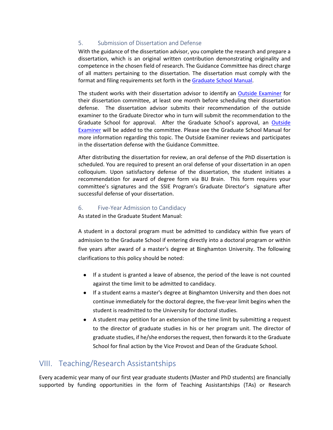## <span id="page-16-0"></span>5. Submission of Dissertation and Defense

With the guidance of the dissertation advisor, you complete the research and prepare a dissertation, which is an original written contribution demonstrating originality and competence in the chosen field of research. The Guidance Committee has direct charge of all matters pertaining to the dissertation. The dissertation must comply with the format and filing requirements set forth in the [Graduate School Manual.](https://www.binghamton.edu/grad-school/resources/policies-procedures/manual/#thesis-or-dissertation)

The student works with their dissertation advisor to identify an [Outside Examiner](https://www.binghamton.edu/grad-school/resources/policies-procedures/manual/policies-doctoral.html#205) [f](https://www.binghamton.edu/grad-school/resources/policies-procedures/manual/policies-doctoral.html#205)or their dissertation committee, at least one month before scheduling their dissertation defense. The dissertation advisor submits their recommendation of the outside examiner to the Graduate Director who in turn will submit the recommendation to the Graduate School for approval. After the Graduate School's approval, an [Outside](https://www.binghamton.edu/grad-school/resources/policies-procedures/manual/policies-doctoral.html#205)  [Examiner](https://www.binghamton.edu/grad-school/resources/policies-procedures/manual/policies-doctoral.html#205) [w](https://www.binghamton.edu/grad-school/resources/policies-procedures/manual/policies-doctoral.html#205)ill be added to the committee. Please see the Graduate School Manual for more information regarding this topic. The Outside Examiner reviews and participates in the dissertation defense with the Guidance Committee.

After distributing the dissertation for review, an oral defense of the PhD dissertation is scheduled. You are required to present an oral defense of your dissertation in an open colloquium. Upon satisfactory defense of the dissertation, the student initiates a recommendation for award of degree form via BU Brain. This form requires your committee's signatures and the SSIE Program's Graduate Director's signature after successful defense of your dissertation.

#### <span id="page-16-1"></span>6. Five-Year Admission to Candidacy

As stated in the Graduate Student Manual:

A student in a doctoral program must be admitted to candidacy within five years of admission to the Graduate School if entering directly into a doctoral program or within five years after award of a master's degree at Binghamton University. The following clarifications to this policy should be noted:

- If a student is granted a leave of absence, the period of the leave is not counted against the time limit to be admitted to candidacy.
- If a student earns a master's degree at Binghamton University and then does not continue immediately for the doctoral degree, the five-year limit begins when the student is readmitted to the University for doctoral studies.
- A student may petition for an extension of the time limit by submitting a request to the director of graduate studies in his or her program unit. The director of graduate studies, if he/she endorses the request, then forwards it to the Graduate School for final action by the Vice Provost and Dean of the Graduate School.

## <span id="page-16-2"></span>VIII. Teaching/Research Assistantships

Every academic year many of our first year graduate students (Master and PhD students) are financially supported by funding opportunities in the form of Teaching Assistantships (TAs) or Research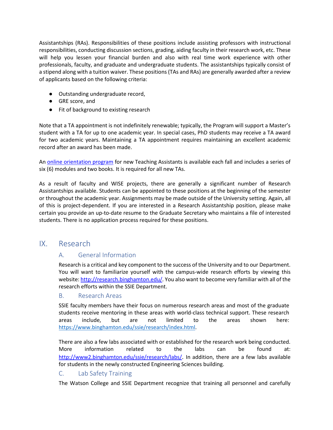Assistantships (RAs). Responsibilities of these positions include assisting professors with instructional responsibilities, conducting discussion sections, grading, aiding faculty in their research work, etc. These will help you lessen your financial burden and also with real time work experience with other professionals, faculty, and graduate and undergraduate students. The assistantships typically consist of a stipend along with a tuition waiver. These positions (TAs and RAs) are generally awarded after a review of applicants based on the following criteria:

- Outstanding undergraduate record,
- GRE score, and
- Fit of background to existing research

Note that a TA appointment is not indefinitely renewable; typically, the Program will support a Master's student with a TA for up to one academic year. In special cases, PhD students may receive a TA award for two academic years. Maintaining a TA appointment requires maintaining an excellent academic record after an award has been made.

A[n online orientation program](http://www.gradschool.binghamton.edu/ps/orientation/) for new Teaching Assistants is available each fall and includes a series of six (6) modules and two books. It is required for all new TAs.

As a result of faculty and WISE projects, there are generally a significant number of Research Assistantships available. Students can be appointed to these positions at the beginning of the semester or throughout the academic year. Assignments may be made outside of the University setting. Again, all of this is project-dependent. If you are interested in a Research Assistantship position, please make certain you provide an up-to-date resume to the Graduate Secretary who maintains a file of interested students. There is no application process required for these positions.

## <span id="page-17-1"></span><span id="page-17-0"></span>IX. Research

## A. General Information

Research is a critical and key component to the success of the University and to our Department. You will want to familiarize yourself with the campus-wide research efforts by viewing this website[: http://research.binghamton.edu/. Y](http://research.binghamton.edu/)ou also want to become very familiar with all of the research efforts within the SSIE Department.

## <span id="page-17-2"></span>B. Research Areas

SSIE faculty members have their focus on numerous research areas and most of the graduate students receive mentoring in these areas with world-class technical support. These research areas include, but are not limited to the areas shown here: [https://www.binghamton.edu/ssie/research/index.html.](https://www.binghamton.edu/ssie/research/index.html)

There are also a few labs associated with or established for the research work being conducted. More information related to the labs can be found at: [http://www2.binghamton.edu/ssie/research/labs/.](http://www2.binghamton.edu/ssie/research/labs/) In addition, there are a few labs available for students in the newly constructed Engineering Sciences building.

## <span id="page-17-3"></span>C. Lab Safety Training

The Watson College and SSIE Department recognize that training all personnel and carefully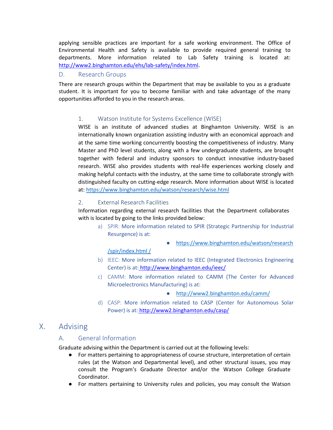applying sensible practices are important for a safe working environment. The Office of Environmental Health and Safety is available to provide required general training to departments. More information related to Lab Safety training is located at: [http://www2.binghamton.edu/ehs/lab-safety/index.html.](http://www2.binghamton.edu/ehs/lab-safety/index.html)

#### <span id="page-18-0"></span>D. Research Groups

<span id="page-18-1"></span>There are research groups within the Department that may be available to you as a graduate student. It is important for you to become familiar with and take advantage of the many opportunities afforded to you in the research areas.

## 1. Watson Institute for Systems Excellence (WISE)

WISE is an institute of advanced studies at Binghamton University. WISE is an internationally known organization assisting industry with an economical approach and at the same time working concurrently boosting the competitiveness of industry. Many Master and PhD level students, along with a few undergraduate students, are brought together with federal and industry sponsors to conduct innovative industry-based research. WISE also provides students with real-life experiences working closely and making helpful contacts with the industry, at the same time to collaborate strongly with distinguished faculty on cutting-edge research. More information about WISE is located at:<https://www.binghamton.edu/watson/research/wise.html>

## <span id="page-18-2"></span>2. External Research Facilities

Information regarding external research facilities that the Department collaborates with is located by going to the links provided below:

- a) SPIR: More information related to SPIR (Strategic Partnership for Industrial Resurgence) is at:
	- [https://www.binghamton.edu/watson/research](https://www.binghamton.edu/watson/research/spir/index.html%20/)

#### [/spir/index.html /](https://www.binghamton.edu/watson/research/spir/index.html%20/)

- b) IEEC: More information related to IEEC (Integrated Electronics Engineering Center) is at: <http://www.binghamton.edu/ieec/>
- c) CAMM: More information related to CAMM (The Center for Advanced Microelectronics Manufacturing) is at:
	- <http://www2.binghamton.edu/camm/>
- d) CASP: More information related to CASP (Center for Autonomous Solar Power) is at: <http://www2.binghamton.edu/casp/>

## <span id="page-18-4"></span><span id="page-18-3"></span>X. Advising

## A. General Information

Graduate advising within the Department is carried out at the following levels:

- For matters pertaining to appropriateness of course structure, interpretation of certain rules (at the Watson and Departmental level), and other structural issues, you may consult the Program's Graduate Director and/or the Watson College Graduate Coordinator.
- For matters pertaining to University rules and policies, you may consult the Watson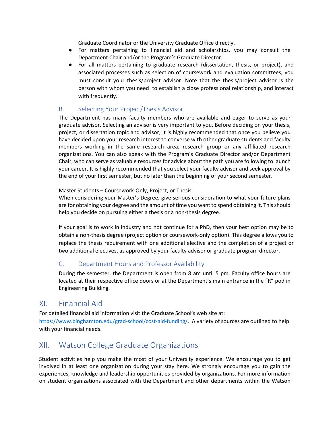Graduate Coordinator or the University Graduate Office directly.

- For matters pertaining to financial aid and scholarships, you may consult the Department Chair and/or the Program's Graduate Director.
- For all matters pertaining to graduate research (dissertation, thesis, or project), and associated processes such as selection of coursework and evaluation committees, you must consult your thesis/project advisor. Note that the thesis/project advisor is the person with whom you need to establish a close professional relationship, and interact with frequently.

## <span id="page-19-0"></span>B. Selecting Your Project/Thesis Advisor

The Department has many faculty members who are available and eager to serve as your graduate advisor. Selecting an advisor is very important to you. Before deciding on your thesis, project, or dissertation topic and advisor, it is highly recommended that once you believe you have decided upon your research interest to converse with other graduate students and faculty members working in the same research area, research group or any affiliated research organizations. You can also speak with the Program's Graduate Director and/or Department Chair, who can serve as valuable resources for advice about the path you are following to launch your career. It is highly recommended that you select your faculty advisor and seek approval by the end of your first semester, but no later than the beginning of your second semester.

#### Master Students – Coursework-Only, Project, or Thesis

When considering your Master's Degree, give serious consideration to what your future plans are for obtaining your degree and the amount of time you want to spend obtaining it. This should help you decide on pursuing either a thesis or a non-thesis degree.

If your goal is to work in industry and not continue for a PhD, then your best option may be to obtain a non-thesis degree (project option or coursework-only option). This degree allows you to replace the thesis requirement with one additional elective and the completion of a project or two additional electives, as approved by your faculty advisor or graduate program director.

## <span id="page-19-1"></span>C. Department Hours and Professor Availability

During the semester, the Department is open from 8 am until 5 pm. Faculty office hours are located at their respective office doors or at the Department's main entrance in the "R" pod in Engineering Building.

## <span id="page-19-2"></span>XI. Financial Aid

For detailed financial aid information visit the Graduate School's web site at: [https://www.binghamton.edu/grad-school/cost-aid-funding/.](https://www.binghamton.edu/grad-school/cost-aid-funding/) A variety of sources are outlined to help with your financial needs.

## <span id="page-19-3"></span>XII. Watson College Graduate Organizations

Student activities help you make the most of your University experience. We encourage you to get involved in at least one organization during your stay here. We strongly encourage you to gain the experiences, knowledge and leadership opportunities provided by organizations. For more information on student organizations associated with the Department and other departments within the Watson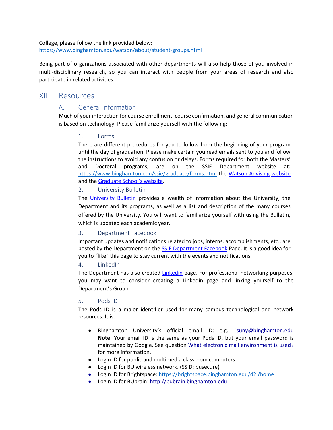College, please follow the link provided below: <https://www.binghamton.edu/watson/about/student-groups.html>

Being part of organizations associated with other departments will also help those of you involved in multi-disciplinary research, so you can interact with people from your areas of research and also participate in related activities.

## <span id="page-20-1"></span><span id="page-20-0"></span>XIII. Resources

## A. General Information

<span id="page-20-2"></span>Much of your interaction for course enrollment, course confirmation, and general communication is based on technology. Please familiarize yourself with the following:

## 1. Forms

There are different procedures for you to follow from the beginning of your program until the day of graduation. Please make certain you read emails sent to you and follow the instructions to avoid any confusion or delays. Forms required for both the Masters' and Doctoral programs, are on the SSIE Department website at: <https://www.binghamton.edu/ssie/graduate/forms.html> the [Watson Advising](https://www.binghamton.edu/watson/student-services/advising/grad-forms.html) [website](http://www2.binghamton.edu/watson/advising/graduate/index.html) and th[e Graduate School's website.](https://www.binghamton.edu/grad-school/resources/forms.html)

#### <span id="page-20-3"></span>2. University Bulletin

The [University Bulletin](http://bulletin.binghamton.edu/) provides a wealth of information about the University, the Department and its programs, as well as a list and description of the many courses offered by the University. You will want to familiarize yourself with using the Bulletin, which is updated each academic year.

## <span id="page-20-4"></span>3. Department Facebook

Important updates and notifications related to jobs, interns, accomplishments, etc., are posted by the Department on the [SSIE Department Facebook](https://www.facebook.com/pages/Systems-Science-Industrial-Engineering-Department-Binghamton-University/255283257842919) Page. It is a good idea for you to "like" this page to stay current with the events and notifications.

## <span id="page-20-5"></span>4. LinkedIn

The Department has also created *Linkedin* page. For professional networking purposes, you may want to consider creating a Linkedin page and linking yourself to the Department's Group.

## <span id="page-20-6"></span>5. Pods ID

The Pods ID is a major identifier used for many campus technological and network resources. It is:

- Binghamton University's official email ID: e.g., [jsuny@binghamton.edu](mailto:jsuny@binghamton.edu)  **Note:** Your email ID is the same as your Pods ID, but your email password is maintained by Google. See question [What electronic mail environment is used?](https://www.binghamton.edu/its/helpdesk/bmail.html) for more information.
- Login ID for public and multimedia classroom computers.
- Login ID for BU wireless network. (SSID: busecure)
- Login ID for Brightspace: <https://brightspace.binghamton.edu/d2l/home>
- Login ID for BUbrain: [http://bubrain.binghamton.edu](http://bubrain.binghamton.edu/)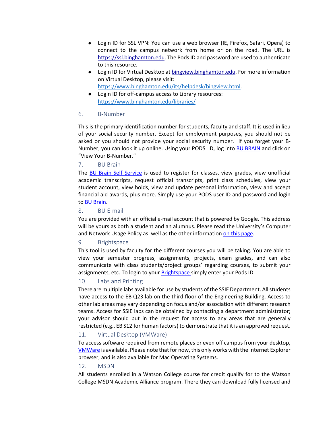- Login ID for SSL VPN: You can use a web browser (IE, Firefox, Safari, Opera) to connect to the campus network from home or on the road. The URL is [https://ssl.binghamton.edu.](https://ssl.binghamton.edu/) The Pods ID and password are used to authenticate to this resource.
- Login ID for Virtual Desktop at [bingview.binghamton.edu.](http://bingview.binghamton.edu/) For more information on Virtual Desktop, please visit: [https://www.binghamton.edu/its/helpdesk/bingview.html.](https://www.binghamton.edu/its/helpdesk/bingview.html)
- Login ID for off-campus access to Library resources: <https://www.binghamton.edu/libraries/>

#### <span id="page-21-0"></span>6. B-Number

This is the primary identification number for students, faculty and staff. It is used in lieu of your social security number. Except for employment purposes, you should not be asked or you should not provide your social security number. If you forget your B-Number, you can look it up online. Using your PODS ID, log int[o BU BRAIN](http://www.binghamton.edu/self-service/) and click on "View Your B-Number."

#### <span id="page-21-1"></span>7. BU Brain

The [BU Brain Self Service](http://www.binghamton.edu/self-service/) is used to register for classes, view grades, view unofficial academic transcripts, request official transcripts, print class schedules, view your student account, view holds, view and update personal information, view and accept financial aid awards, plus more. Simply use your PODS user ID and password and login to [BU Brain.](http://www.binghamton.edu/self-service/)

#### <span id="page-21-2"></span>8. BU E-mail

You are provided with an official e-mail account that is powered by Google. This address will be yours as both a student and an alumnus. Please read the University's Computer and Network Usage Policy as well as the other informatio[n on this page.](https://www.binghamton.edu/its/helpdesk/bmail.html)

## <span id="page-21-3"></span>9. Brightspace

This tool is used by faculty for the different courses you will be taking. You are able to view your semester progress, assignments, projects, exam grades, and can also communicate with class students/project groups' regarding courses, to submit your assignments, etc. To login to your **Brightspace** simply enter your Pods ID.

## <span id="page-21-4"></span>10. Labs and Printing

There are multiple labs available for use by students of the SSIE Department. All students have access to the EB Q23 lab on the third floor of the Engineering Building. Access to other lab areas may vary depending on focus and/or association with different research teams. Access for SSIE labs can be obtained by contacting a department administrator; your advisor should put in the request for access to any areas that are generally restricted (e.g., EB S12 for human factors) to demonstrate that it is an approved request.

## <span id="page-21-5"></span>11. Virtual Desktop (VMWare)

To access software required from remote places or even off campus from your desktop, [VMWare](https://bingview.binghamton.edu/) is available. Please note that for now, this only works with the Internet Explorer browser, and is also available for Mac Operating Systems.

#### <span id="page-21-6"></span>12. MSDN

All students enrolled in a Watson College course for credit qualify for to the Watson College MSDN Academic Alliance program. There they can download fully licensed and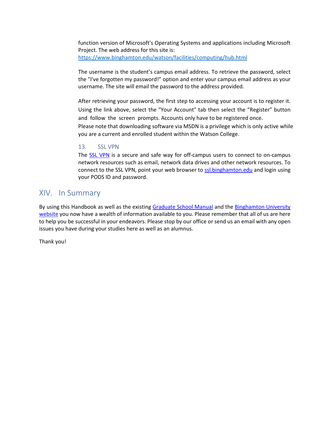function version of Microsoft's Operating Systems and applications including Microsoft Project. The web address for this site is: <https://www.binghamton.edu/watson/facilities/computing/hub.html>

The username is the student's campus email address. To retrieve the password, select the "I've forgotten my password!" option and enter your campus email address as your username. The site will email the password to the address provided.

After retrieving your password, the first step to accessing your account is to register it. Using the link above, select the "Your Account" tab then select the "Register" button and follow the screen prompts. Accounts only have to be registered once.

Please note that downloading software via MSDN is a privilege which is only active while you are a current and enrolled student within the Watson College.

#### <span id="page-22-0"></span>13. SSL VPN

The **SSL VPN** is a secure and safe way for off-campus users to connect to on-campus network resources such as email, network data drives and other network resources. To connect to the SSL VPN, point your web browser to [ssl.binghamton.edu](https://ssl.binghamton.edu/) and login using your PODS ID and password.

## <span id="page-22-1"></span>XIV. In Summary

By using this Handbook as well as the existing [Graduate School Manual](http://www2.binghamton.edu/grad-school/manual/index.html) and the Binghamton University [website](http://www.binghamton.edu/self-service/) [y](http://www.binghamton.edu/self-service/)ou now have a wealth of information available to you. Please remember that all of us are here to help you be successful in your endeavors. Please stop by our office or send us an email with any open issues you have during your studies here as well as an alumnus.

Thank you!